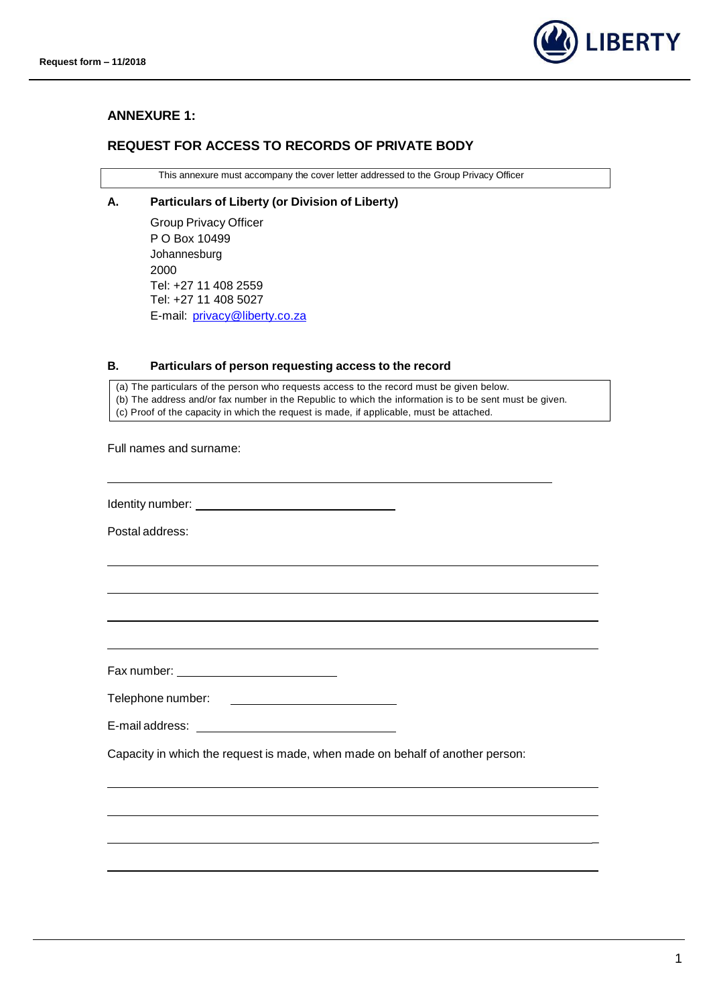

### **ANNEXURE 1:**

## **REQUEST FOR ACCESS TO RECORDS OF PRIVATE BODY**

This annexure must accompany the cover letter addressed to the Group Privacy Officer

#### **A. Particulars of Liberty (or Division of Liberty)**

Group Privacy Officer P O Box 10499 Johannesburg 2000 Tel: +27 11 408 2559 Tel: +27 11 408 5027 E-mail: [privacy@liberty.co.za](mailto:privacy@liberty.co.za)

#### **B. Particulars of person requesting access to the record**

(a) The particulars of the person who requests access to the record must be given below. (b) The address and/or fax number in the Republic to which the information is to be sent must be given.

(c) Proof of the capacity in which the request is made, if applicable, must be attached.

Full names and surname:

Identity number: \_\_\_\_\_\_\_\_\_\_\_

Postal address:

Fax number:

Telephone number:

E-mail address:

Capacity in which the request is made, when made on behalf of another person:

\_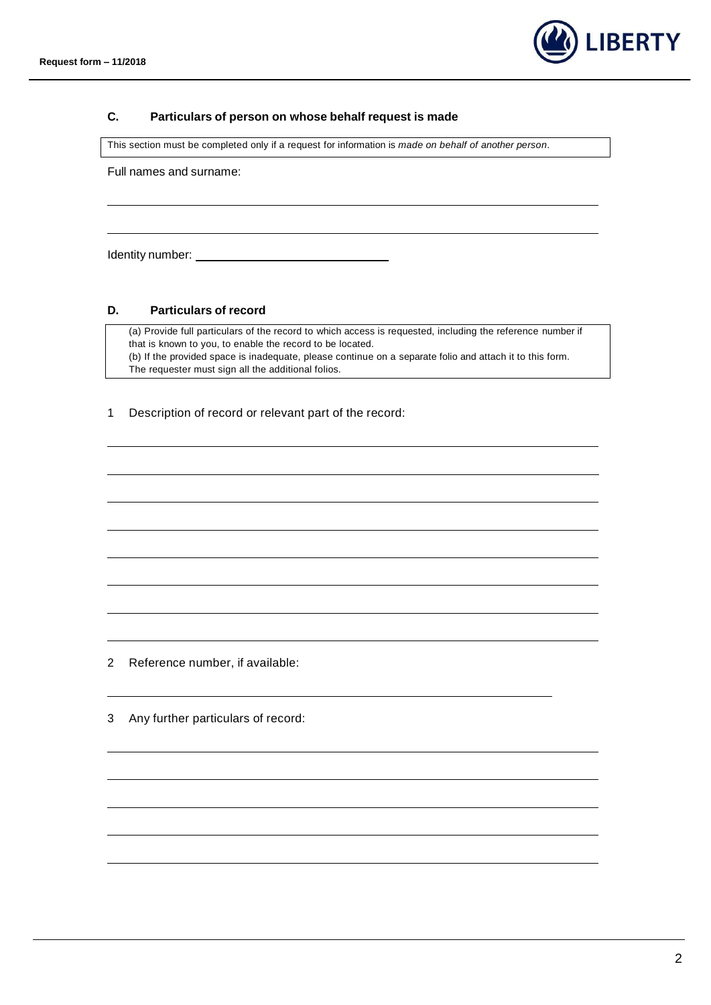

### **C. Particulars of person on whose behalf request is made**

This section must be completed only if a request for information is *made on behalf of another person*.

Full names and surname:

Identity number: The contract of the contract of the contract of the contract of the contract of the contract of the contract of the contract of the contract of the contract of the contract of the contract of the contract

#### **D. Particulars of record**

(a) Provide full particulars of the record to which access is requested, including the reference number if that is known to you, to enable the record to be located. (b) If the provided space is inadequate, please continue on a separate folio and attach it to this form. The requester must sign all the additional folios.

1 Description of record or relevant part of the record:

2 Reference number, if available:

3 Any further particulars of record: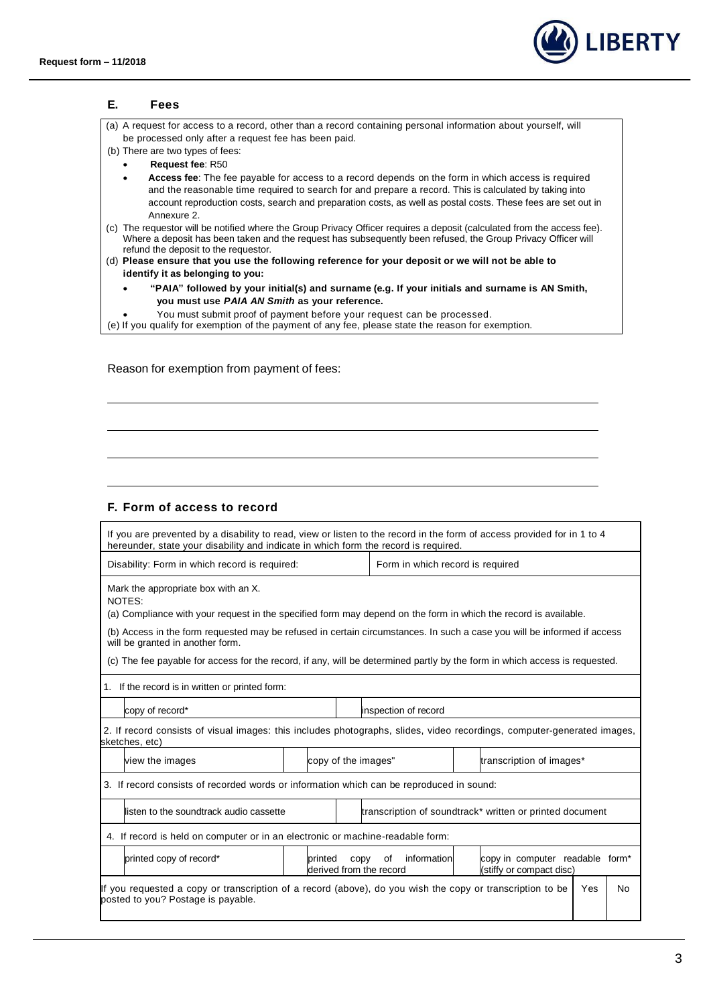

|        | Fees                                                                                                                                                     |                                                                                                                                                                                                                                                                                                                              |
|--------|----------------------------------------------------------------------------------------------------------------------------------------------------------|------------------------------------------------------------------------------------------------------------------------------------------------------------------------------------------------------------------------------------------------------------------------------------------------------------------------------|
|        |                                                                                                                                                          | (a) A request for access to a record, other than a record containing personal information about yourself, will                                                                                                                                                                                                               |
|        | be processed only after a request fee has been paid.<br>(b) There are two types of fees:                                                                 |                                                                                                                                                                                                                                                                                                                              |
|        | Request fee: R50                                                                                                                                         |                                                                                                                                                                                                                                                                                                                              |
|        |                                                                                                                                                          | Access fee: The fee payable for access to a record depends on the form in which access is required<br>and the reasonable time required to search for and prepare a record. This is calculated by taking into<br>account reproduction costs, search and preparation costs, as well as postal costs. These fees are set out in |
|        | Annexure 2.<br>refund the deposit to the requestor.<br>(d) Please ensure that you use the following reference for your deposit or we will not be able to | (c) The requestor will be notified where the Group Privacy Officer requires a deposit (calculated from the access fee).<br>Where a deposit has been taken and the request has subsequently been refused, the Group Privacy Officer will                                                                                      |
|        | identify it as belonging to you:                                                                                                                         |                                                                                                                                                                                                                                                                                                                              |
|        | you must use PAIA AN Smith as your reference.                                                                                                            | "PAIA" followed by your initial(s) and surname (e.g. If your initials and surname is AN Smith,                                                                                                                                                                                                                               |
|        | You must submit proof of payment before your request can be processed.                                                                                   |                                                                                                                                                                                                                                                                                                                              |
|        | (e) If you qualify for exemption of the payment of any fee, please state the reason for exemption.                                                       |                                                                                                                                                                                                                                                                                                                              |
|        |                                                                                                                                                          |                                                                                                                                                                                                                                                                                                                              |
|        |                                                                                                                                                          |                                                                                                                                                                                                                                                                                                                              |
|        |                                                                                                                                                          |                                                                                                                                                                                                                                                                                                                              |
|        |                                                                                                                                                          |                                                                                                                                                                                                                                                                                                                              |
|        |                                                                                                                                                          |                                                                                                                                                                                                                                                                                                                              |
|        | F. Form of access to record                                                                                                                              |                                                                                                                                                                                                                                                                                                                              |
|        | hereunder, state your disability and indicate in which form the record is required.                                                                      | If you are prevented by a disability to read, view or listen to the record in the form of access provided for in 1 to 4                                                                                                                                                                                                      |
|        | Disability: Form in which record is required:                                                                                                            | Form in which record is required                                                                                                                                                                                                                                                                                             |
|        | Mark the appropriate box with an X.                                                                                                                      |                                                                                                                                                                                                                                                                                                                              |
|        |                                                                                                                                                          | (a) Compliance with your request in the specified form may depend on the form in which the record is available.                                                                                                                                                                                                              |
|        | will be granted in another form.                                                                                                                         | (b) Access in the form requested may be refused in certain circumstances. In such a case you will be informed if access                                                                                                                                                                                                      |
| NOTES: |                                                                                                                                                          | (c) The fee payable for access for the record, if any, will be determined partly by the form in which access is requested.                                                                                                                                                                                                   |
|        | 1. If the record is in written or printed form:                                                                                                          |                                                                                                                                                                                                                                                                                                                              |

2. If record consists of visual images: this includes photographs, slides, video recordings, computer-generated images, sketches, etc)

view the images  $\vert$  | copy of the images" | transcription of images\* 3. If record consists of recorded words or information which can be reproduced in sound:

listen to the soundtrack audio cassette **the end of the soundtrack** written or printed document 4. If record is held on computer or in an electronic or machine-readable form: printed copy of record\* <br>
printed copy of information derived from the record copy in computer readable form\* (stiffy or compact disc)

| If you requested a copy or transcription of a record (above), do you wish the copy or transcription to be   Yes   No |  |
|----------------------------------------------------------------------------------------------------------------------|--|
| posted to you? Postage is payable.                                                                                   |  |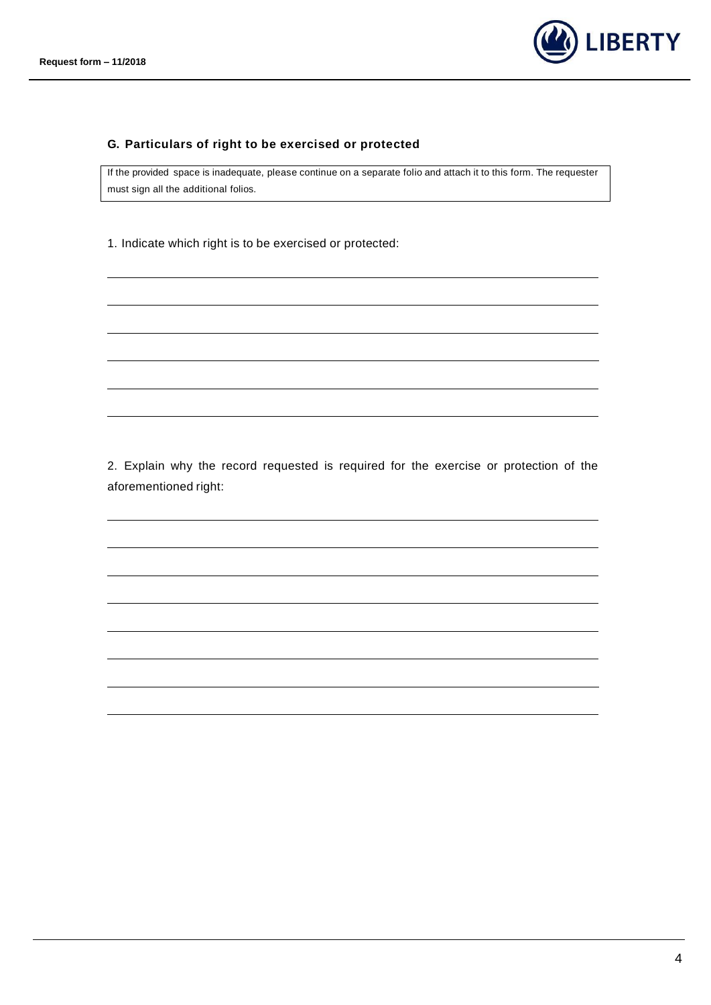

## **G. Particulars of right to be exercised or protected**

If the provided space is inadequate, please continue on a separate folio and attach it to this form. The requester must sign all the additional folios.

1. Indicate which right is to be exercised or protected:

2. Explain why the record requested is required for the exercise or protection of the aforementioned right: